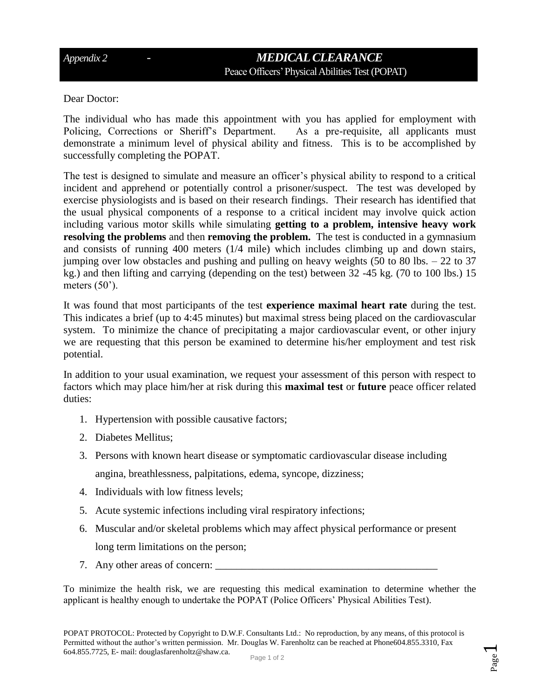## *Appendix 2 - MEDICAL CLEARANCE*  Peace Officers'Physical Abilities Test (POPAT)

Dear Doctor:

The individual who has made this appointment with you has applied for employment with Policing, Corrections or Sheriff's Department. As a pre-requisite, all applicants must demonstrate a minimum level of physical ability and fitness. This is to be accomplished by successfully completing the POPAT.

The test is designed to simulate and measure an officer's physical ability to respond to a critical incident and apprehend or potentially control a prisoner/suspect. The test was developed by exercise physiologists and is based on their research findings. Their research has identified that the usual physical components of a response to a critical incident may involve quick action including various motor skills while simulating **getting to a problem, intensive heavy work resolving the problems** and then **removing the problem.** The test is conducted in a gymnasium and consists of running 400 meters (1/4 mile) which includes climbing up and down stairs, jumping over low obstacles and pushing and pulling on heavy weights (50 to 80 lbs.  $-22$  to 37 kg.) and then lifting and carrying (depending on the test) between 32 -45 kg. (70 to 100 lbs.) 15 meters  $(50^{\circ})$ .

It was found that most participants of the test **experience maximal heart rate** during the test. This indicates a brief (up to 4:45 minutes) but maximal stress being placed on the cardiovascular system. To minimize the chance of precipitating a major cardiovascular event, or other injury we are requesting that this person be examined to determine his/her employment and test risk potential.

In addition to your usual examination, we request your assessment of this person with respect to factors which may place him/her at risk during this **maximal test** or **future** peace officer related duties:

- 1. Hypertension with possible causative factors;
- 2. Diabetes Mellitus;
- 3. Persons with known heart disease or symptomatic cardiovascular disease including

angina, breathlessness, palpitations, edema, syncope, dizziness;

- 4. Individuals with low fitness levels;
- 5. Acute systemic infections including viral respiratory infections;
- 6. Muscular and/or skeletal problems which may affect physical performance or present long term limitations on the person;
- 7. Any other areas of concern:

To minimize the health risk, we are requesting this medical examination to determine whether the applicant is healthy enough to undertake the POPAT (Police Officers' Physical Abilities Test).